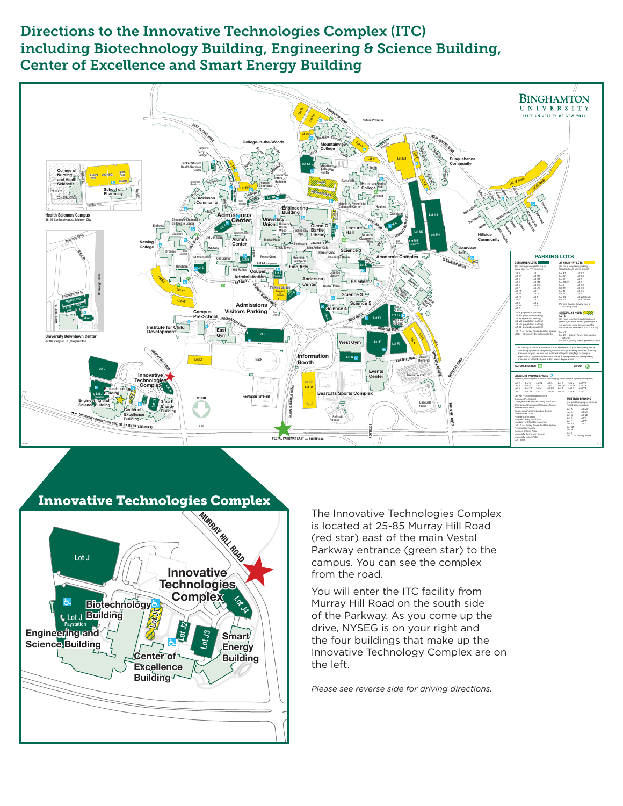## Directions to the Innovative Technologies Complex (ITC) including Biotechnology Building, Engineering & Science Building, Center of Excellence and Smart Energy Building





Innovative Technologies Complex

The Innovative Technologies Complex is located at 25-85 Murray Hill Road (red star) east of the main Vestal Parkway entrance (green star) to the campus. You can see the complex from the road.

You will enter the ITC facility from Murray Hill Road on the south side of the Parkway. As you come up the drive, NYSEG is on your right and the four buildings that make up the Innovative Technology Complex are on the left.

*Please see reverse side for driving directions.*